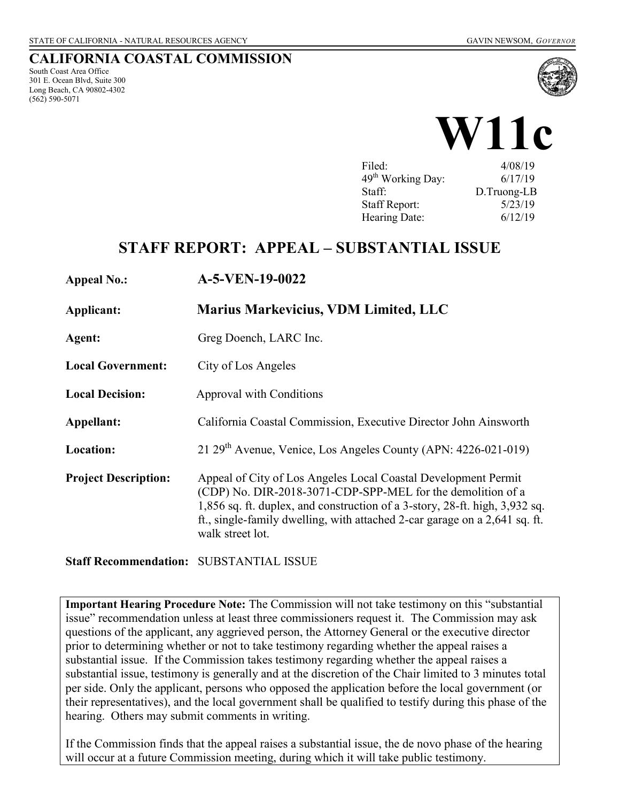## **CALIFORNIA COASTAL COMMISSION**

South Coast Area Office 301 E. Ocean Blvd, Suite 300 Long Beach, CA 90802-4302 (562) 590-5071





| Filed:                        | 4/08/19     |
|-------------------------------|-------------|
| 49 <sup>th</sup> Working Day: | 6/17/19     |
| Staff:                        | D.Truong-LB |
| <b>Staff Report:</b>          | 5/23/19     |
|                               | 6/12/19     |
| Hearing Date:                 |             |

## **STAFF REPORT: APPEAL – SUBSTANTIAL ISSUE**

#### **Appeal No.: A-5-VEN-19-0022**

**Applicant: Marius Markevicius, VDM Limited, LLC** 

**Agent:** Greg Doench, LARC Inc.

**Local Government:** City of Los Angeles

**Local Decision:** Approval with Conditions

**Appellant:** California Coastal Commission, Executive Director John Ainsworth

**Location:** 21 29<sup>th</sup> Avenue, Venice, Los Angeles County (APN: 4226-021-019)

**Project Description:** Appeal of City of Los Angeles Local Coastal Development Permit (CDP) No. DIR-2018-3071-CDP-SPP-MEL for the demolition of a 1,856 sq. ft. duplex, and construction of a 3-story, 28-ft. high, 3,932 sq. ft., single-family dwelling, with attached 2-car garage on a 2,641 sq. ft. walk street lot.

**Staff Recommendation:** SUBSTANTIAL ISSUE

**Important Hearing Procedure Note:** The Commission will not take testimony on this "substantial issue" recommendation unless at least three commissioners request it. The Commission may ask questions of the applicant, any aggrieved person, the Attorney General or the executive director prior to determining whether or not to take testimony regarding whether the appeal raises a substantial issue. If the Commission takes testimony regarding whether the appeal raises a substantial issue, testimony is generally and at the discretion of the Chair limited to 3 minutes total per side. Only the applicant, persons who opposed the application before the local government (or their representatives), and the local government shall be qualified to testify during this phase of the hearing. Others may submit comments in writing.

If the Commission finds that the appeal raises a substantial issue, the de novo phase of the hearing will occur at a future Commission meeting, during which it will take public testimony.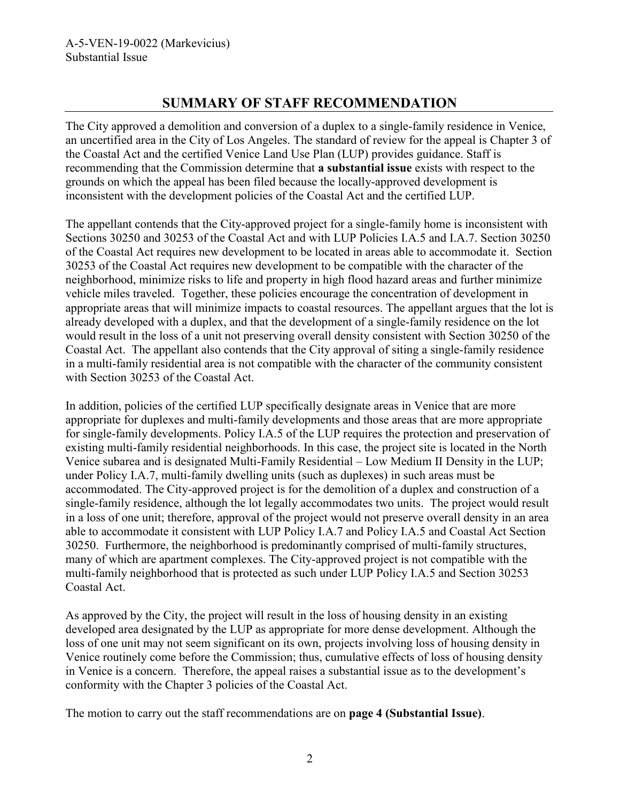## **SUMMARY OF STAFF RECOMMENDATION**

The City approved a demolition and conversion of a duplex to a single-family residence in Venice, an uncertified area in the City of Los Angeles. The standard of review for the appeal is Chapter 3 of the Coastal Act and the certified Venice Land Use Plan (LUP) provides guidance. Staff is recommending that the Commission determine that **a substantial issue** exists with respect to the grounds on which the appeal has been filed because the locally-approved development is inconsistent with the development policies of the Coastal Act and the certified LUP.

The appellant contends that the City-approved project for a single-family home is inconsistent with Sections 30250 and 30253 of the Coastal Act and with LUP Policies I.A.5 and I.A.7. Section 30250 of the Coastal Act requires new development to be located in areas able to accommodate it. Section 30253 of the Coastal Act requires new development to be compatible with the character of the neighborhood, minimize risks to life and property in high flood hazard areas and further minimize vehicle miles traveled. Together, these policies encourage the concentration of development in appropriate areas that will minimize impacts to coastal resources. The appellant argues that the lot is already developed with a duplex, and that the development of a single-family residence on the lot would result in the loss of a unit not preserving overall density consistent with Section 30250 of the Coastal Act. The appellant also contends that the City approval of siting a single-family residence in a multi-family residential area is not compatible with the character of the community consistent with Section 30253 of the Coastal Act.

In addition, policies of the certified LUP specifically designate areas in Venice that are more appropriate for duplexes and multi-family developments and those areas that are more appropriate for single-family developments. Policy I.A.5 of the LUP requires the protection and preservation of existing multi-family residential neighborhoods. In this case, the project site is located in the North Venice subarea and is designated Multi-Family Residential – Low Medium II Density in the LUP; under Policy I.A.7, multi-family dwelling units (such as duplexes) in such areas must be accommodated. The City-approved project is for the demolition of a duplex and construction of a single-family residence, although the lot legally accommodates two units. The project would result in a loss of one unit; therefore, approval of the project would not preserve overall density in an area able to accommodate it consistent with LUP Policy I.A.7 and Policy I.A.5 and Coastal Act Section 30250. Furthermore, the neighborhood is predominantly comprised of multi-family structures, many of which are apartment complexes. The City-approved project is not compatible with the multi-family neighborhood that is protected as such under LUP Policy I.A.5 and Section 30253 Coastal Act.

As approved by the City, the project will result in the loss of housing density in an existing developed area designated by the LUP as appropriate for more dense development. Although the loss of one unit may not seem significant on its own, projects involving loss of housing density in Venice routinely come before the Commission; thus, cumulative effects of loss of housing density in Venice is a concern. Therefore, the appeal raises a substantial issue as to the development's conformity with the Chapter 3 policies of the Coastal Act.

The motion to carry out the staff recommendations are on **page 4 (Substantial Issue)**.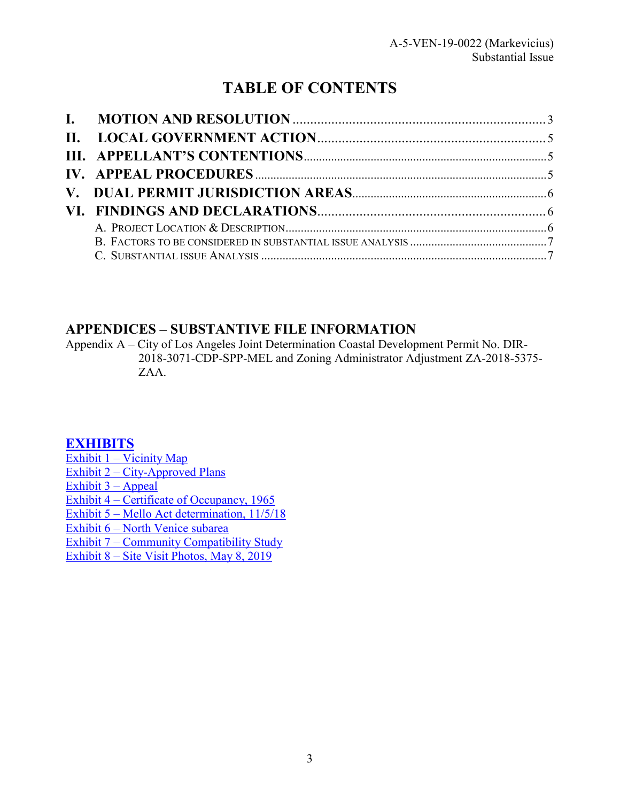# **TABLE OF CONTENTS**

## **APPENDICES – SUBSTANTIVE FILE INFORMATION**

Appendix A – City of Los Angeles Joint Determination Coastal Development Permit No. DIR-2018-3071-CDP-SPP-MEL and Zoning Administrator Adjustment ZA-2018-5375- ZAA.

## **[EXHIBITS](https://documents.coastal.ca.gov/reports/2019/6/w11c/w11c-6-2019-exhibits.pdf)**

[Exhibit 1 – Vicinity Map](https://documents.coastal.ca.gov/reports/2019/6/w11c/w11c-6-2019-exhibits.pdf)  [Exhibit 2 – City-Approved Plans](https://documents.coastal.ca.gov/reports/2019/6/w11c/w11c-6-2019-exhibits.pdf)  [Exhibit 3 – Appeal](https://documents.coastal.ca.gov/reports/2019/6/w11c/w11c-6-2019-exhibits.pdf)  Exhibit 4 – Certificate of Occupancy, 1965 [Exhibit 5 – Mello Act determination, 11/5/18](https://documents.coastal.ca.gov/reports/2019/6/w11c/w11c-6-2019-exhibits.pdf) [Exhibit 6 – North Venice subarea](https://documents.coastal.ca.gov/reports/2019/6/w11c/w11c-6-2019-exhibits.pdf)  [Exhibit 7 – Community Compatibility Study](https://documents.coastal.ca.gov/reports/2019/6/w11c/w11c-6-2019-exhibits.pdf)  [Exhibit 8 – Site Visit Photos, May 8, 2019](https://documents.coastal.ca.gov/reports/2019/6/w11c/w11c-6-2019-exhibits.pdf)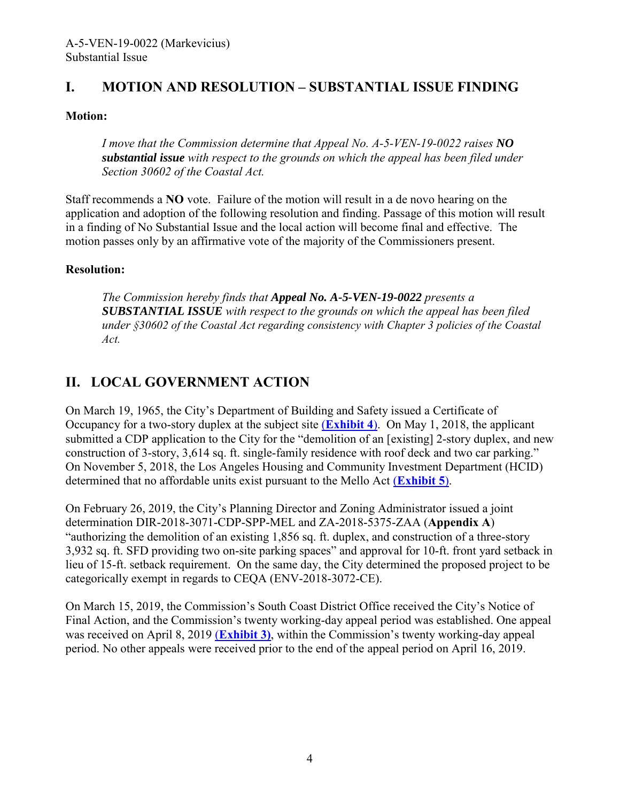## <span id="page-3-0"></span>**I. MOTION AND RESOLUTION – SUBSTANTIAL ISSUE FINDING**

### **Motion:**

*I move that the Commission determine that Appeal No. A-5-VEN-19-0022 raises NO substantial issue with respect to the grounds on which the appeal has been filed under Section 30602 of the Coastal Act.* 

Staff recommends a **NO** vote. Failure of the motion will result in a de novo hearing on the application and adoption of the following resolution and finding. Passage of this motion will result in a finding of No Substantial Issue and the local action will become final and effective. The motion passes only by an affirmative vote of the majority of the Commissioners present.

### **Resolution:**

*The Commission hereby finds that Appeal No. A-5-VEN-19-0022 presents a SUBSTANTIAL ISSUE with respect to the grounds on which the appeal has been filed under §30602 of the Coastal Act regarding consistency with Chapter 3 policies of the Coastal Act.* 

## <span id="page-3-1"></span>**II. LOCAL GOVERNMENT ACTION**

On March 19, 1965, the City's Department of Building and Safety issued a Certificate of Occupancy for a two-story duplex at the subject site (**[Exhibit 4](https://documents.coastal.ca.gov/reports/2019/6/w11c/w11c-6-2019-exhibits.pdf)**). On May 1, 2018, the applicant submitted a CDP application to the City for the "demolition of an [existing] 2-story duplex, and new construction of 3-story, 3,614 sq. ft. single-family residence with roof deck and two car parking." On November 5, 2018, the Los Angeles Housing and Community Investment Department (HCID) determined that no affordable units exist pursuant to the Mello Act (**[Exhibit 5](https://documents.coastal.ca.gov/reports/2019/6/w11c/w11c-6-2019-exhibits.pdf)**).

On February 26, 2019, the City's Planning Director and Zoning Administrator issued a joint determination DIR-2018-3071-CDP-SPP-MEL and ZA-2018-5375-ZAA (**Appendix A**) "authorizing the demolition of an existing 1,856 sq. ft. duplex, and construction of a three-story 3,932 sq. ft. SFD providing two on-site parking spaces" and approval for 10-ft. front yard setback in lieu of 15-ft. setback requirement. On the same day, the City determined the proposed project to be categorically exempt in regards to CEQA (ENV-2018-3072-CE).

On March 15, 2019, the Commission's South Coast District Office received the City's Notice of Final Action, and the Commission's twenty working-day appeal period was established. One appeal was received on April 8, 2019 (**[Exhibit 3\)](https://documents.coastal.ca.gov/reports/2019/6/w11c/w11c-6-2019-exhibits.pdf)**, within the Commission's twenty working-day appeal period. No other appeals were received prior to the end of the appeal period on April 16, 2019.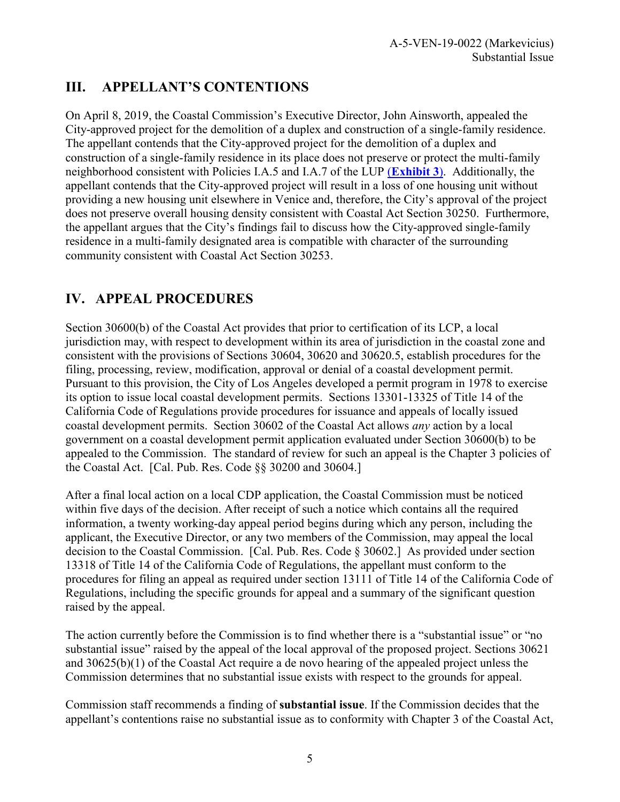# <span id="page-4-0"></span>**III. APPELLANT'S CONTENTIONS**

On April 8, 2019, the Coastal Commission's Executive Director, John Ainsworth, appealed the City-approved project for the demolition of a duplex and construction of a single-family residence. The appellant contends that the City-approved project for the demolition of a duplex and construction of a single-family residence in its place does not preserve or protect the multi-family neighborhood consistent with Policies I.A.5 and I.A.7 of the LUP (**[Exhibit 3](https://documents.coastal.ca.gov/reports/2019/6/w11c/w11c-6-2019-exhibits.pdf)**). Additionally, the appellant contends that the City-approved project will result in a loss of one housing unit without providing a new housing unit elsewhere in Venice and, therefore, the City's approval of the project does not preserve overall housing density consistent with Coastal Act Section 30250. Furthermore, the appellant argues that the City's findings fail to discuss how the City-approved single-family residence in a multi-family designated area is compatible with character of the surrounding community consistent with Coastal Act Section 30253.

# <span id="page-4-1"></span>**IV. APPEAL PROCEDURES**

Section 30600(b) of the Coastal Act provides that prior to certification of its LCP, a local jurisdiction may, with respect to development within its area of jurisdiction in the coastal zone and consistent with the provisions of Sections 30604, 30620 and 30620.5, establish procedures for the filing, processing, review, modification, approval or denial of a coastal development permit. Pursuant to this provision, the City of Los Angeles developed a permit program in 1978 to exercise its option to issue local coastal development permits. Sections 13301-13325 of Title 14 of the California Code of Regulations provide procedures for issuance and appeals of locally issued coastal development permits. Section 30602 of the Coastal Act allows *any* action by a local government on a coastal development permit application evaluated under Section 30600(b) to be appealed to the Commission. The standard of review for such an appeal is the Chapter 3 policies of the Coastal Act. [Cal. Pub. Res. Code §§ 30200 and 30604.]

After a final local action on a local CDP application, the Coastal Commission must be noticed within five days of the decision. After receipt of such a notice which contains all the required information, a twenty working-day appeal period begins during which any person, including the applicant, the Executive Director, or any two members of the Commission, may appeal the local decision to the Coastal Commission. [Cal. Pub. Res. Code § 30602.] As provided under section 13318 of Title 14 of the California Code of Regulations, the appellant must conform to the procedures for filing an appeal as required under section 13111 of Title 14 of the California Code of Regulations, including the specific grounds for appeal and a summary of the significant question raised by the appeal.

The action currently before the Commission is to find whether there is a "substantial issue" or "no substantial issue" raised by the appeal of the local approval of the proposed project. Sections 30621 and 30625(b)(1) of the Coastal Act require a de novo hearing of the appealed project unless the Commission determines that no substantial issue exists with respect to the grounds for appeal.

Commission staff recommends a finding of **substantial issue**. If the Commission decides that the appellant's contentions raise no substantial issue as to conformity with Chapter 3 of the Coastal Act,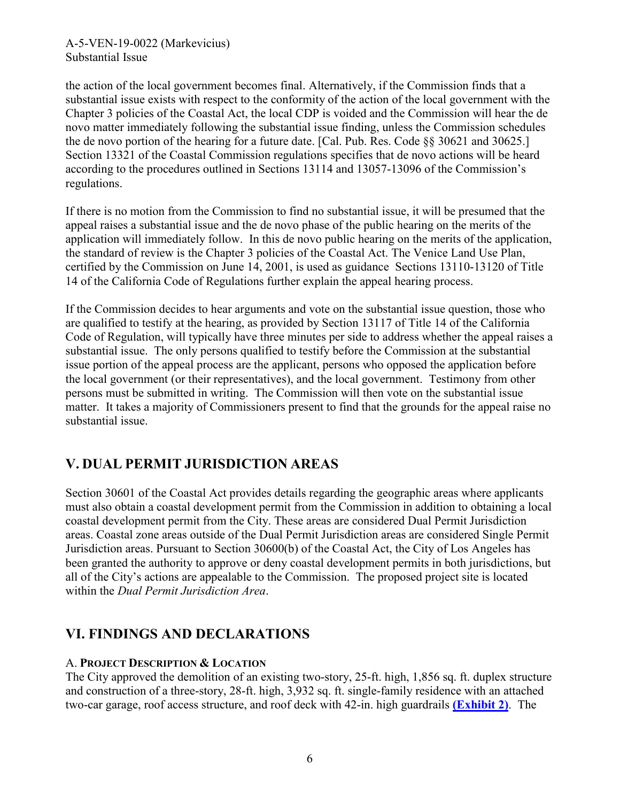the action of the local government becomes final. Alternatively, if the Commission finds that a substantial issue exists with respect to the conformity of the action of the local government with the Chapter 3 policies of the Coastal Act, the local CDP is voided and the Commission will hear the de novo matter immediately following the substantial issue finding, unless the Commission schedules the de novo portion of the hearing for a future date. [Cal. Pub. Res. Code §§ 30621 and 30625.] Section 13321 of the Coastal Commission regulations specifies that de novo actions will be heard according to the procedures outlined in Sections 13114 and 13057-13096 of the Commission's regulations.

If there is no motion from the Commission to find no substantial issue, it will be presumed that the appeal raises a substantial issue and the de novo phase of the public hearing on the merits of the application will immediately follow. In this de novo public hearing on the merits of the application, the standard of review is the Chapter 3 policies of the Coastal Act. The Venice Land Use Plan, certified by the Commission on June 14, 2001, is used as guidance Sections 13110-13120 of Title 14 of the California Code of Regulations further explain the appeal hearing process.

If the Commission decides to hear arguments and vote on the substantial issue question, those who are qualified to testify at the hearing, as provided by Section 13117 of Title 14 of the California Code of Regulation, will typically have three minutes per side to address whether the appeal raises a substantial issue. The only persons qualified to testify before the Commission at the substantial issue portion of the appeal process are the applicant, persons who opposed the application before the local government (or their representatives), and the local government. Testimony from other persons must be submitted in writing. The Commission will then vote on the substantial issue matter. It takes a majority of Commissioners present to find that the grounds for the appeal raise no substantial issue.

# <span id="page-5-0"></span>**V. DUAL PERMIT JURISDICTION AREAS**

Section 30601 of the Coastal Act provides details regarding the geographic areas where applicants must also obtain a coastal development permit from the Commission in addition to obtaining a local coastal development permit from the City. These areas are considered Dual Permit Jurisdiction areas. Coastal zone areas outside of the Dual Permit Jurisdiction areas are considered Single Permit Jurisdiction areas. Pursuant to Section 30600(b) of the Coastal Act, the City of Los Angeles has been granted the authority to approve or deny coastal development permits in both jurisdictions, but all of the City's actions are appealable to the Commission. The proposed project site is located within the *Dual Permit Jurisdiction Area*.

# <span id="page-5-1"></span>**VI. FINDINGS AND DECLARATIONS**

### A. **PROJECT DESCRIPTION & LOCATION**

The City approved the demolition of an existing two-story, 25-ft. high, 1,856 sq. ft. duplex structure and construction of a three-story, 28-ft. high, 3,932 sq. ft. single-family residence with an attached two-car garage, roof access structure, and roof deck with 42-in. high guardrails **[\(Exhibit 2\)](https://documents.coastal.ca.gov/reports/2019/6/w11c/w11c-6-2019-exhibits.pdf)**. The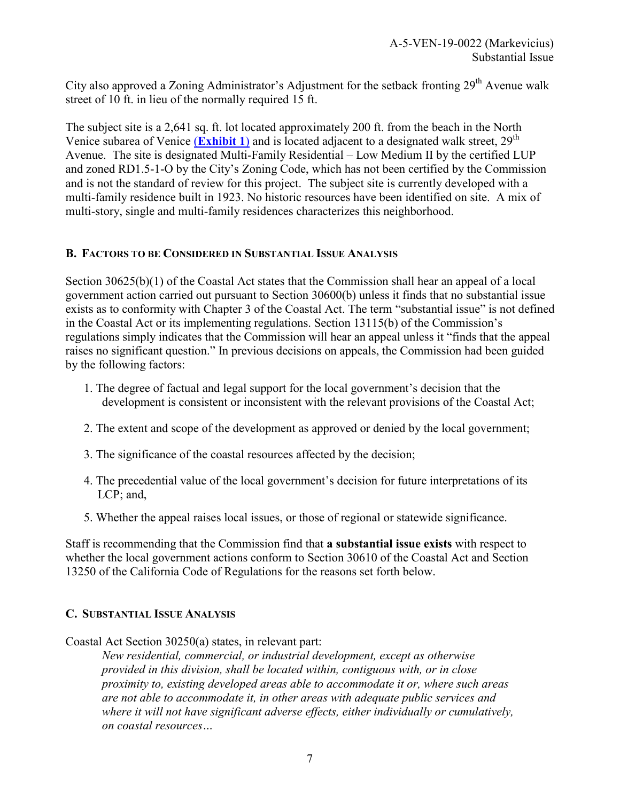City also approved a Zoning Administrator's Adjustment for the setback fronting 29<sup>th</sup> Avenue walk street of 10 ft. in lieu of the normally required 15 ft.

The subject site is a 2,641 sq. ft. lot located approximately 200 ft. from the beach in the North Venice subarea of Venice (**[Exhibit 1](https://documents.coastal.ca.gov/reports/2019/6/w11c/w11c-6-2019-exhibits.pdf)**) and is located adjacent to a designated walk street, 29<sup>th</sup> Avenue. The site is designated Multi-Family Residential – Low Medium II by the certified LUP and zoned RD1.5-1-O by the City's Zoning Code, which has not been certified by the Commission and is not the standard of review for this project. The subject site is currently developed with a multi-family residence built in 1923. No historic resources have been identified on site. A mix of multi-story, single and multi-family residences characterizes this neighborhood.

### <span id="page-6-0"></span>**B. FACTORS TO BE CONSIDERED IN SUBSTANTIAL ISSUE ANALYSIS**

Section 30625(b)(1) of the Coastal Act states that the Commission shall hear an appeal of a local government action carried out pursuant to Section 30600(b) unless it finds that no substantial issue exists as to conformity with Chapter 3 of the Coastal Act. The term "substantial issue" is not defined in the Coastal Act or its implementing regulations. Section 13115(b) of the Commission's regulations simply indicates that the Commission will hear an appeal unless it "finds that the appeal raises no significant question." In previous decisions on appeals, the Commission had been guided by the following factors:

- 1. The degree of factual and legal support for the local government's decision that the development is consistent or inconsistent with the relevant provisions of the Coastal Act;
- 2. The extent and scope of the development as approved or denied by the local government;
- 3. The significance of the coastal resources affected by the decision;
- 4. The precedential value of the local government's decision for future interpretations of its LCP; and,
- 5. Whether the appeal raises local issues, or those of regional or statewide significance.

Staff is recommending that the Commission find that **a substantial issue exists** with respect to whether the local government actions conform to Section 30610 of the Coastal Act and Section 13250 of the California Code of Regulations for the reasons set forth below.

#### <span id="page-6-1"></span>**C. SUBSTANTIAL ISSUE ANALYSIS**

Coastal Act Section 30250(a) states, in relevant part:

*New residential, commercial, or industrial development, except as otherwise provided in this division, shall be located within, contiguous with, or in close proximity to, existing developed areas able to accommodate it or, where such areas are not able to accommodate it, in other areas with adequate public services and where it will not have significant adverse effects, either individually or cumulatively, on coastal resources…*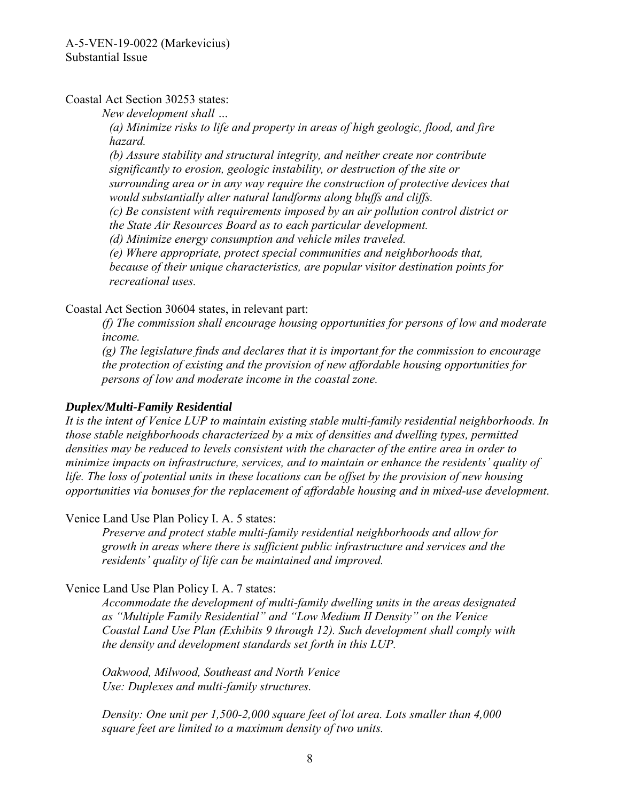Coastal Act Section 30253 states:

*New development shall …* 

*(a) Minimize risks to life and property in areas of high geologic, flood, and fire hazard.* 

*(b) Assure stability and structural integrity, and neither create nor contribute significantly to erosion, geologic instability, or destruction of the site or surrounding area or in any way require the construction of protective devices that would substantially alter natural landforms along bluffs and cliffs. (c) Be consistent with requirements imposed by an air pollution control district or the State Air Resources Board as to each particular development. (d) Minimize energy consumption and vehicle miles traveled. (e) Where appropriate, protect special communities and neighborhoods that, because of their unique characteristics, are popular visitor destination points for recreational uses.* 

Coastal Act Section 30604 states, in relevant part:

*(f) The commission shall encourage housing opportunities for persons of low and moderate income.*

*(g) The legislature finds and declares that it is important for the commission to encourage the protection of existing and the provision of new affordable housing opportunities for persons of low and moderate income in the coastal zone.* 

### *Duplex/Multi-Family Residential*

*It is the intent of Venice LUP to maintain existing stable multi-family residential neighborhoods. In those stable neighborhoods characterized by a mix of densities and dwelling types, permitted densities may be reduced to levels consistent with the character of the entire area in order to minimize impacts on infrastructure, services, and to maintain or enhance the residents' quality of life. The loss of potential units in these locations can be offset by the provision of new housing opportunities via bonuses for the replacement of affordable housing and in mixed-use development.* 

Venice Land Use Plan Policy I. A. 5 states:

*Preserve and protect stable multi-family residential neighborhoods and allow for growth in areas where there is sufficient public infrastructure and services and the residents' quality of life can be maintained and improved.*

Venice Land Use Plan Policy I. A. 7 states:

*Accommodate the development of multi-family dwelling units in the areas designated as "Multiple Family Residential" and "Low Medium II Density" on the Venice Coastal Land Use Plan (Exhibits 9 through 12). Such development shall comply with the density and development standards set forth in this LUP.* 

*Oakwood, Milwood, Southeast and North Venice Use: Duplexes and multi-family structures.* 

*Density: One unit per 1,500-2,000 square feet of lot area. Lots smaller than 4,000 square feet are limited to a maximum density of two units.*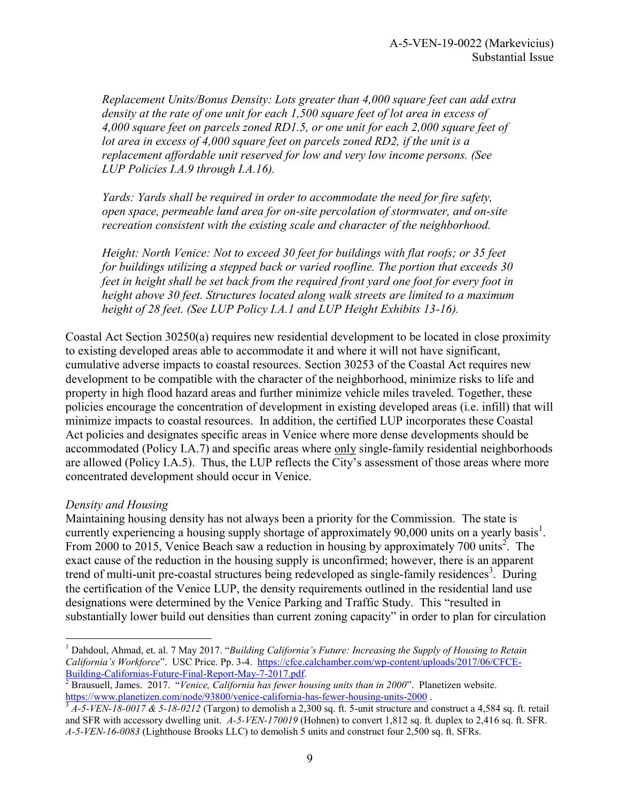*Replacement Units/Bonus Density: Lots greater than 4,000 square feet can add extra density at the rate of one unit for each 1,500 square feet of lot area in excess of 4,000 square feet on parcels zoned RD1.5, or one unit for each 2,000 square feet of lot area in excess of 4,000 square feet on parcels zoned RD2, if the unit is a replacement affordable unit reserved for low and very low income persons. (See LUP Policies I.A.9 through I.A.16).* 

*Yards: Yards shall be required in order to accommodate the need for fire safety, open space, permeable land area for on-site percolation of stormwater, and on-site recreation consistent with the existing scale and character of the neighborhood.* 

*Height: North Venice: Not to exceed 30 feet for buildings with flat roofs; or 35 feet for buildings utilizing a stepped back or varied roofline. The portion that exceeds 30 feet in height shall be set back from the required front yard one foot for every foot in height above 30 feet. Structures located along walk streets are limited to a maximum height of 28 feet. (See LUP Policy I.A.1 and LUP Height Exhibits 13-16).* 

Coastal Act Section 30250(a) requires new residential development to be located in close proximity to existing developed areas able to accommodate it and where it will not have significant, cumulative adverse impacts to coastal resources. Section 30253 of the Coastal Act requires new development to be compatible with the character of the neighborhood, minimize risks to life and property in high flood hazard areas and further minimize vehicle miles traveled. Together, these policies encourage the concentration of development in existing developed areas (i.e. infill) that will minimize impacts to coastal resources. In addition, the certified LUP incorporates these Coastal Act policies and designates specific areas in Venice where more dense developments should be accommodated (Policy I.A.7) and specific areas where only single-family residential neighborhoods are allowed (Policy I.A.5). Thus, the LUP reflects the City's assessment of those areas where more concentrated development should occur in Venice.

#### *Density and Housing*

 $\overline{a}$ 

Maintaining housing density has not always been a priority for the Commission. The state is currently experiencing a housing supply shortage of approximately 90,000 units on a yearly basis<sup>1</sup>. From 2000 to 2015, Venice Beach saw a reduction in housing by approximately 700 units<sup>2</sup>. The exact cause of the reduction in the housing supply is unconfirmed; however, there is an apparent trend of multi-unit pre-coastal structures being redeveloped as single-family residences<sup>3</sup>. During the certification of the Venice LUP, the density requirements outlined in the residential land use designations were determined by the Venice Parking and Traffic Study. This "resulted in substantially lower build out densities than current zoning capacity" in order to plan for circulation

<sup>&</sup>lt;sup>1</sup> Dahdoul, Ahmad, et. al. 7 May 2017. "Building California's Future: Increasing the Supply of Housing to Retain *California's Workforce*". USC Price. Pp. 3-4. [https://cfce.calchamber.com/wp-content/uploads/2017/06/CFCE-](https://cfce.calchamber.com/wp-content/uploads/2017/06/CFCE-Building-Californias-Future-Final-Report-May-7-2017.pdf)[Building-Californias-Future-Final-Report-May-7-2017.pdf.](https://cfce.calchamber.com/wp-content/uploads/2017/06/CFCE-Building-Californias-Future-Final-Report-May-7-2017.pdf)

<sup>2</sup> Brausuell, James. 2017. "*Venice, California has fewer housing units than in 2000*". Planetizen website. <https://www.planetizen.com/node/93800/venice-california-has-fewer-housing-units-2000>.

 $3A-5-VEN-18-0017 \& 5-18-0212$  (Targon) to demolish a 2,300 sq. ft. 5-unit structure and construct a 4,584 sq. ft. retail and SFR with accessory dwelling unit. *A-5-VEN-170019* (Hohnen) to convert 1,812 sq. ft. duplex to 2,416 sq. ft. SFR. *A-5-VEN-16-0083* (Lighthouse Brooks LLC) to demolish 5 units and construct four 2,500 sq. ft. SFRs.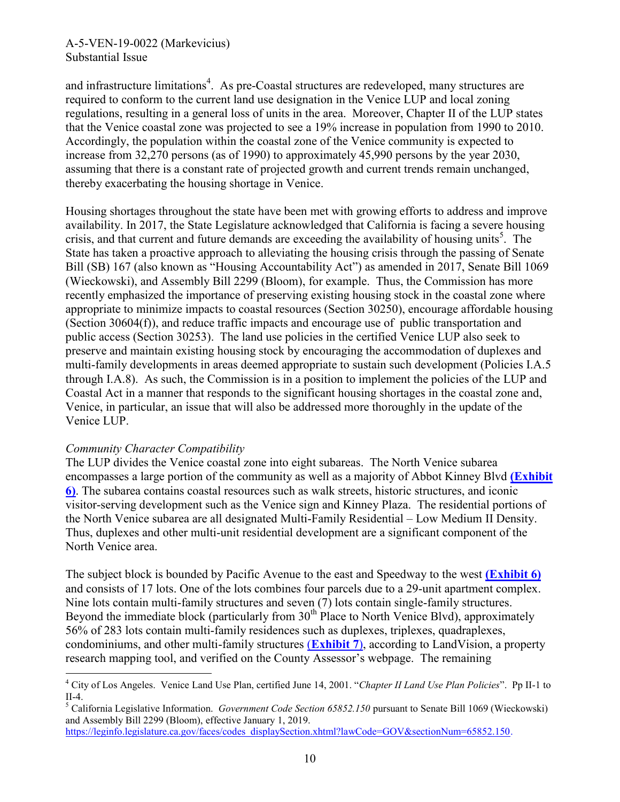### A-5-VEN-19-0022 (Markevicius) Substantial Issue

and infrastructure limitations<sup>4</sup>. As pre-Coastal structures are redeveloped, many structures are required to conform to the current land use designation in the Venice LUP and local zoning regulations, resulting in a general loss of units in the area. Moreover, Chapter II of the LUP states that the Venice coastal zone was projected to see a 19% increase in population from 1990 to 2010. Accordingly, the population within the coastal zone of the Venice community is expected to increase from 32,270 persons (as of 1990) to approximately 45,990 persons by the year 2030, assuming that there is a constant rate of projected growth and current trends remain unchanged, thereby exacerbating the housing shortage in Venice.

Housing shortages throughout the state have been met with growing efforts to address and improve availability. In 2017, the State Legislature acknowledged that California is facing a severe housing crisis, and that current and future demands are exceeding the availability of housing units<sup>5</sup>. The State has taken a proactive approach to alleviating the housing crisis through the passing of Senate Bill (SB) 167 (also known as "Housing Accountability Act") as amended in 2017, Senate Bill 1069 (Wieckowski), and Assembly Bill 2299 (Bloom), for example. Thus, the Commission has more recently emphasized the importance of preserving existing housing stock in the coastal zone where appropriate to minimize impacts to coastal resources (Section 30250), encourage affordable housing (Section 30604(f)), and reduce traffic impacts and encourage use of public transportation and public access (Section 30253). The land use policies in the certified Venice LUP also seek to preserve and maintain existing housing stock by encouraging the accommodation of duplexes and multi-family developments in areas deemed appropriate to sustain such development (Policies I.A.5 through I.A.8). As such, the Commission is in a position to implement the policies of the LUP and Coastal Act in a manner that responds to the significant housing shortages in the coastal zone and, Venice, in particular, an issue that will also be addressed more thoroughly in the update of the Venice LUP.

#### *Community Character Compatibility*

The LUP divides the Venice coastal zone into eight subareas. The North Venice subarea encompasses a large portion of the community as well as a majority of Abbot Kinney Blvd **[\(Exhibit](https://documents.coastal.ca.gov/reports/2019/6/w11c/w11c-6-2019-exhibits.pdf)  [6\)](https://documents.coastal.ca.gov/reports/2019/6/w11c/w11c-6-2019-exhibits.pdf)**. The subarea contains coastal resources such as walk streets, historic structures, and iconic visitor-serving development such as the Venice sign and Kinney Plaza. The residential portions of the North Venice subarea are all designated Multi-Family Residential – Low Medium II Density. Thus, duplexes and other multi-unit residential development are a significant component of the North Venice area.

The subject block is bounded by Pacific Avenue to the east and Speedway to the west **[\(Exhibit 6\)](https://documents.coastal.ca.gov/reports/2019/6/w11c/w11c-6-2019-exhibits.pdf)** and consists of 17 lots. One of the lots combines four parcels due to a 29-unit apartment complex. Nine lots contain multi-family structures and seven (7) lots contain single-family structures. Beyond the immediate block (particularly from  $30<sup>th</sup>$  Place to North Venice Blvd), approximately 56% of 283 lots contain multi-family residences such as duplexes, triplexes, quadraplexes, condominiums, and other multi-family structures (**[Exhibit 7](https://documents.coastal.ca.gov/reports/2019/6/w11c/w11c-6-2019-exhibits.pdf)**), according to LandVision, a property research mapping tool, and verified on the County Assessor's webpage. The remaining

 $\overline{a}$ 4 City of Los Angeles. Venice Land Use Plan, certified June 14, 2001. "*Chapter II Land Use Plan Policies*". Pp II-1 to II-4.

<sup>5</sup> California Legislative Information. *Government Code Section 65852.150* pursuant to Senate Bill 1069 (Wieckowski) and Assembly Bill 2299 (Bloom), effective January 1, 2019.

[https://leginfo.legislature.ca.gov/faces/codes\\_displaySection.xhtml?lawCode=GOV&sectionNum=65852.150.](https://leginfo.legislature.ca.gov/faces/codes_displaySection.xhtml?lawCode=GOV§ionNum=65852.150)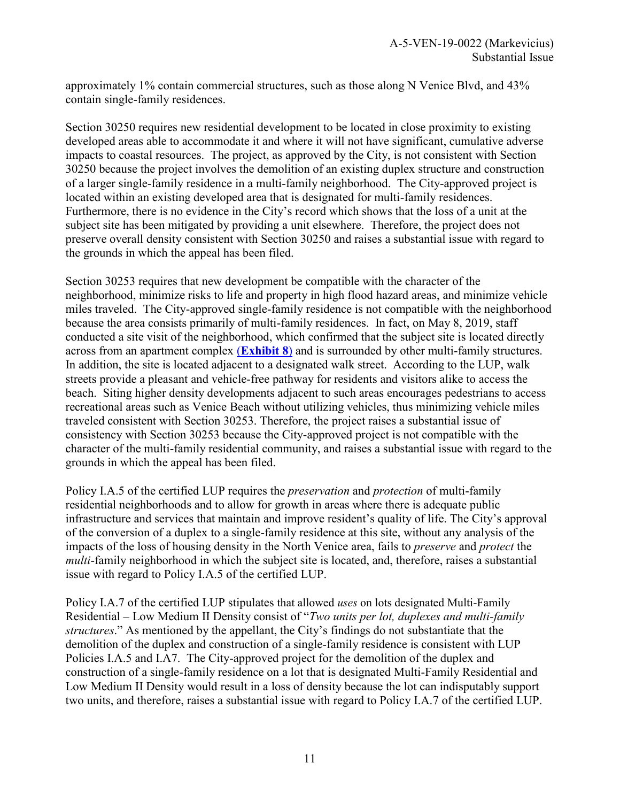approximately 1% contain commercial structures, such as those along N Venice Blvd, and 43% contain single-family residences.

Section 30250 requires new residential development to be located in close proximity to existing developed areas able to accommodate it and where it will not have significant, cumulative adverse impacts to coastal resources. The project, as approved by the City, is not consistent with Section 30250 because the project involves the demolition of an existing duplex structure and construction of a larger single-family residence in a multi-family neighborhood. The City-approved project is located within an existing developed area that is designated for multi-family residences. Furthermore, there is no evidence in the City's record which shows that the loss of a unit at the subject site has been mitigated by providing a unit elsewhere. Therefore, the project does not preserve overall density consistent with Section 30250 and raises a substantial issue with regard to the grounds in which the appeal has been filed.

Section 30253 requires that new development be compatible with the character of the neighborhood, minimize risks to life and property in high flood hazard areas, and minimize vehicle miles traveled. The City-approved single-family residence is not compatible with the neighborhood because the area consists primarily of multi-family residences. In fact, on May 8, 2019, staff conducted a site visit of the neighborhood, which confirmed that the subject site is located directly across from an apartment complex (**[Exhibit 8](https://documents.coastal.ca.gov/reports/2019/6/w11c/w11c-6-2019-exhibits.pdf)**) and is surrounded by other multi-family structures. In addition, the site is located adjacent to a designated walk street. According to the LUP, walk streets provide a pleasant and vehicle-free pathway for residents and visitors alike to access the beach. Siting higher density developments adjacent to such areas encourages pedestrians to access recreational areas such as Venice Beach without utilizing vehicles, thus minimizing vehicle miles traveled consistent with Section 30253. Therefore, the project raises a substantial issue of consistency with Section 30253 because the City-approved project is not compatible with the character of the multi-family residential community, and raises a substantial issue with regard to the grounds in which the appeal has been filed.

Policy I.A.5 of the certified LUP requires the *preservation* and *protection* of multi-family residential neighborhoods and to allow for growth in areas where there is adequate public infrastructure and services that maintain and improve resident's quality of life. The City's approval of the conversion of a duplex to a single-family residence at this site, without any analysis of the impacts of the loss of housing density in the North Venice area, fails to *preserve* and *protect* the *multi*-family neighborhood in which the subject site is located, and, therefore, raises a substantial issue with regard to Policy I.A.5 of the certified LUP.

Policy I.A.7 of the certified LUP stipulates that allowed *uses* on lots designated Multi-Family Residential – Low Medium II Density consist of "*Two units per lot, duplexes and multi-family structures*." As mentioned by the appellant, the City's findings do not substantiate that the demolition of the duplex and construction of a single-family residence is consistent with LUP Policies I.A.5 and I.A7. The City-approved project for the demolition of the duplex and construction of a single-family residence on a lot that is designated Multi-Family Residential and Low Medium II Density would result in a loss of density because the lot can indisputably support two units, and therefore, raises a substantial issue with regard to Policy I.A.7 of the certified LUP.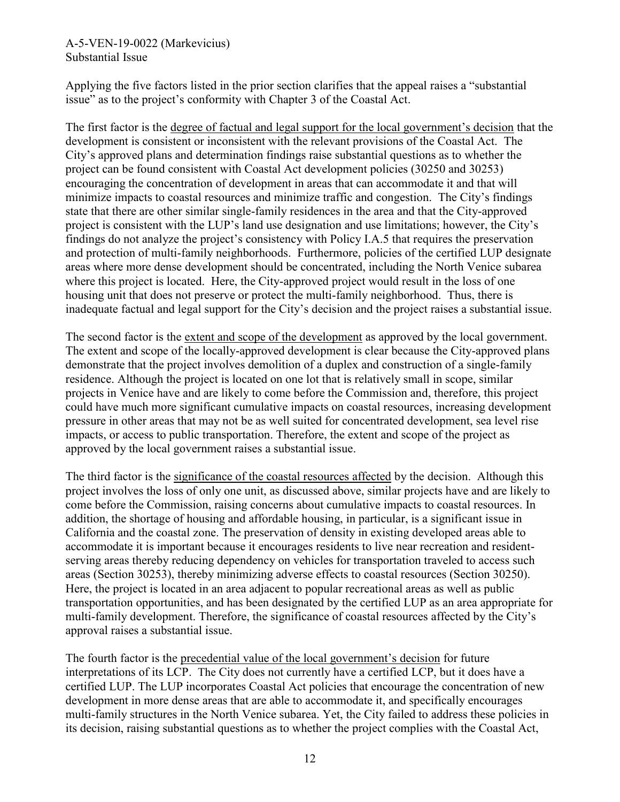### A-5-VEN-19-0022 (Markevicius) Substantial Issue

Applying the five factors listed in the prior section clarifies that the appeal raises a "substantial issue" as to the project's conformity with Chapter 3 of the Coastal Act.

The first factor is the degree of factual and legal support for the local government's decision that the development is consistent or inconsistent with the relevant provisions of the Coastal Act. The City's approved plans and determination findings raise substantial questions as to whether the project can be found consistent with Coastal Act development policies (30250 and 30253) encouraging the concentration of development in areas that can accommodate it and that will minimize impacts to coastal resources and minimize traffic and congestion. The City's findings state that there are other similar single-family residences in the area and that the City-approved project is consistent with the LUP's land use designation and use limitations; however, the City's findings do not analyze the project's consistency with Policy I.A.5 that requires the preservation and protection of multi-family neighborhoods. Furthermore, policies of the certified LUP designate areas where more dense development should be concentrated, including the North Venice subarea where this project is located. Here, the City-approved project would result in the loss of one housing unit that does not preserve or protect the multi-family neighborhood. Thus, there is inadequate factual and legal support for the City's decision and the project raises a substantial issue.

The second factor is the extent and scope of the development as approved by the local government. The extent and scope of the locally-approved development is clear because the City-approved plans demonstrate that the project involves demolition of a duplex and construction of a single-family residence. Although the project is located on one lot that is relatively small in scope, similar projects in Venice have and are likely to come before the Commission and, therefore, this project could have much more significant cumulative impacts on coastal resources, increasing development pressure in other areas that may not be as well suited for concentrated development, sea level rise impacts, or access to public transportation. Therefore, the extent and scope of the project as approved by the local government raises a substantial issue.

The third factor is the significance of the coastal resources affected by the decision. Although this project involves the loss of only one unit, as discussed above, similar projects have and are likely to come before the Commission, raising concerns about cumulative impacts to coastal resources. In addition, the shortage of housing and affordable housing, in particular, is a significant issue in California and the coastal zone. The preservation of density in existing developed areas able to accommodate it is important because it encourages residents to live near recreation and residentserving areas thereby reducing dependency on vehicles for transportation traveled to access such areas (Section 30253), thereby minimizing adverse effects to coastal resources (Section 30250). Here, the project is located in an area adjacent to popular recreational areas as well as public transportation opportunities, and has been designated by the certified LUP as an area appropriate for multi-family development. Therefore, the significance of coastal resources affected by the City's approval raises a substantial issue.

The fourth factor is the precedential value of the local government's decision for future interpretations of its LCP. The City does not currently have a certified LCP, but it does have a certified LUP. The LUP incorporates Coastal Act policies that encourage the concentration of new development in more dense areas that are able to accommodate it, and specifically encourages multi-family structures in the North Venice subarea. Yet, the City failed to address these policies in its decision, raising substantial questions as to whether the project complies with the Coastal Act,